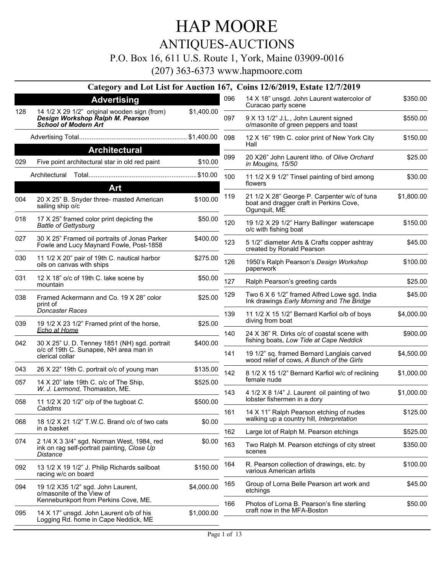ANTIQUES-AUCTIONS

P.O. Box 16, 611 U.S. Route 1, York, Maine 03909-0016

(207) 363-6373 www.hapmoore.com

#### **Category and Lot List for Auction 167, Coins 12/6/2019, Estate 12/7/2019 Advertising** 14 1/2 X 29 1/2" original wooden sign (from) *Design Workshop Ralph M. Pearson School of Modern Art* 128 14 1/2 X 29 1/2" original wooden sign (from) \$1,400.00 Advertising Total............................................................ \$1,400.00 **Architectural** 029 Five point architectural star in old red paint \$10.00 Architectural Total............................................................\$10.00 **Art** 20 X 25" B. Snyder three- masted American 004 \$100.00 sailing ship o/c 018 17 X 25" framed color print depicting the \$50.00 *Battle of Gettysburg* 027 30 X 25" Framed oil portraits of Jonas Parker \$400.00 Fowle and Lucy Maynard Fowle, Post-1858 11 1/2 X 20" pair of 19th C. nautical harbor 030 \$275.00 oils on canvas with ships 031 12 X 18" o/c of 19th C. lake scene by 650.00 mountain 038 Framed Ackermann and Co. 19 X 28" color \$25.00 print of *Doncaster Races* 039 19 1/2 X 23 1/2" Framed print of the horse, \$25.00 *Echo at Home* 30 X 25" U. D. Tenney 1851 (NH) sgd. portrait 042 \$400.00 o/c of 19th C. Sunapee, NH area man in clerical collar 043 26 X 22" 19th C. portrait o/c of young man \$135.00 057 14 X 20" late 19th C. o/c of The Ship, 66 66 5625.00 *W. J. Lermond,* Thomaston, ME. 058 11 1/2 X 20 1/2" o/p of the tugboat *C*.  $$500.00$ *Caddms* 068 18 1/2 X 21 1/2" T.W.C. Brand o/c of two cats \$0.00 in a basket 2 1/4 X 3 3/4" sgd. Norman West, 1984, red 074 \$0.00 ink on rag self-portrait painting, *Close Up Distance* 13 1/2 X 19 1/2" J. Philip Richards sailboat 092 \$150.00 racing w/c on board 19 1/2 X35 1/2" sgd. John Laurent, 094 \$4,000.00 o/masonite of the View of Kennebunkport from Perkins Cove, ME. 095 14 X 17" unsgd. John Laurent o/b of his \$1,000.00 Logging Rd. home in Cape Neddick, ME 096 14 X 18" unsgd. John Laurent watercolor of  $$350.00$ Curacao party scene 097 9 X 13 1/2" J.L., John Laurent signed \$550.00 o/masonite of green peppers and toast 098 12 X 16" 19th C. color print of New York City 5150.00 Hall 20 X26" John Laurent litho. of *Olive Orchard* 099 \$25.00 *in Mougins, 15/50* 11 1/2 X 9 1/2" Tinsel painting of bird among 100 \$30.00 flowers 21 1/2 X 28" George P. Carpenter w/c of tuna 119 \$1,800.00 boat and dragger craft in Perkins Cove, Ogunquit, ME 19 1/2 X 29 1/2" Harry Ballinger waterscape 120 \$150.00 o/c with fishing boat 5 1/2" diameter Arts & Crafts copper ashtray 123 \$45.00 created by Ronald Pearson 1950's Ralph Pearson's *Design Workshop* 126 \$100.00 paperwork 127 Ralph Pearson's greeting cards \$25.00 129 Two 6 X 6 1/2" framed Alfred Lowe sgd. India  $$45.00$ Ink drawings *Early Morning* and *The Bridge* 11 1/2 X 15 1/2" Bernard Karfiol o/b of boys 139 \$4,000.00 diving from boat 24 X 36" R. Dirks o/c of coastal scene with 140 \$900.00 fishing boats, *Low Tide at Cape Neddick* 19 1/2" sq. framed Bernard Langlais carved 141 \$4,500.00 wood relief of cows, *A Bunch of the Girls* 8 1/2 X 15 1/2" Bernard Karfiol w/c of reclining 142 \$1,000.00 female nude 4 1/2 X 8 1/4" J. Laurent oil painting of two 143 \$1,000.00 lobster fishermen in a dory 161 14 X 11" Ralph Pearson etching of nudes \$125.00 walking up a country hill, *Interpretation* 162 Large lot of Ralph M. Pearson etchings \$525.00 163 Two Ralph M. Pearson etchings of city street \$350.00 scenes 164 R. Pearson collection of drawings, etc. by \$100.00 various American artists 165 Group of Lorna Belle Pearson art work and \$45.00 etchings 166 Photos of Lorna B. Pearson's fine sterling  $$50.00$ craft now in the MFA-Boston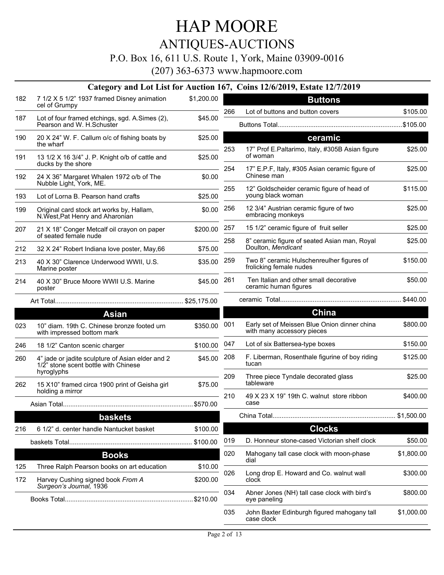## ANTIQUES-AUCTIONS

#### P.O. Box 16, 611 U.S. Route 1, York, Maine 03909-0016

(207) 363-6373 www.hapmoore.com

#### **Category and Lot List for Auction 167, Coins 12/6/2019, Estate 12/7/2019**

|     | $\sim$ $\cdots$ $\sim$ $\cdot$ $\cdot$                                                                                             |            |     |                                                                            |            |
|-----|------------------------------------------------------------------------------------------------------------------------------------|------------|-----|----------------------------------------------------------------------------|------------|
| 182 | 7 1/2 X 5 1/2" 1937 framed Disney animation<br>cel of Grumpy                                                                       | \$1,200.00 |     | <b>Buttons</b>                                                             |            |
| 187 | Lot of four framed etchings, sgd. A.Simes (2),                                                                                     | \$45.00    | 266 | Lot of buttons and button covers                                           | \$105.00   |
|     | Pearson and W. H.Schuster                                                                                                          |            |     |                                                                            |            |
| 190 | 20 X 24" W. F. Callum o/c of fishing boats by<br>the wharf                                                                         | \$25.00    | 253 | ceramic<br>17" Prof E.Paltarimo, Italy, #305B Asian figure                 | \$25.00    |
| 191 | 13 1/2 X 16 3/4" J. P. Knight o/b of cattle and<br>ducks by the shore                                                              | \$25.00    |     | of woman                                                                   | \$25.00    |
| 192 | 24 X 36" Margaret Whalen 1972 o/b of The<br>Nubble Light, York, ME.                                                                | \$0.00     | 254 | 17" E.P.F, Italy, #305 Asian ceramic figure of<br>Chinese man              |            |
| 193 | Lot of Lorna B. Pearson hand crafts                                                                                                | \$25.00    | 255 | 12" Goldscheider ceramic figure of head of<br>young black woman            | \$115.00   |
| 199 | Original card stock art works by, Hallam,<br>N. West, Pat Henry and Aharonian                                                      | \$0.00     | 256 | 12 3/4" Austrian ceramic figure of two<br>embracing monkeys                | \$25.00    |
| 207 | 21 X 18" Conger Metcalf oil crayon on paper<br>of seated female nude                                                               | \$200.00   | 257 | 15 1/2" ceramic figure of fruit seller                                     | \$25.00    |
| 212 | 32 X 24" Robert Indiana love poster, May, 66                                                                                       | \$75.00    | 258 | 8" ceramic figure of seated Asian man, Royal<br>Doulton, Mendicant         | \$25.00    |
| 213 | 40 X 30" Clarence Underwood WWII, U.S.<br>Marine poster                                                                            | \$35.00    | 259 | Two 8" ceramic Hulschenreulher figures of<br>frolicking female nudes       | \$150.00   |
| 214 | 40 X 30" Bruce Moore WWII U.S. Marine<br>poster<br>the contract of the contract of the contract of the contract of the contract of | \$45.00    | 261 | Ten Italian and other small decorative<br>ceramic human figures            | \$50.00    |
|     |                                                                                                                                    |            |     |                                                                            |            |
|     | <b>Asian</b>                                                                                                                       |            |     | <b>China</b>                                                               |            |
| 023 | 10" diam. 19th C. Chinese bronze footed urn<br>with impressed bottom mark                                                          | \$350.00   | 001 | Early set of Meissen Blue Onion dinner china<br>with many accessory pieces | \$800.00   |
| 246 | 18 1/2" Canton scenic charger                                                                                                      | \$100.00   | 047 | Lot of six Battersea-type boxes                                            | \$150.00   |
| 260 | 4" jade or jadite sculpture of Asian elder and 2<br>1/2" stone scent bottle with Chinese<br>hyroglyphs                             | \$45.00    | 208 | F. Liberman, Rosenthale figurine of boy riding<br>tucan                    | \$125.00   |
| 262 | 15 X10" framed circa 1900 print of Geisha girl                                                                                     | \$75.00    | 209 | Three piece Tyndale decorated glass<br>tableware                           | \$25.00    |
|     | holding a mirror                                                                                                                   |            | 210 | 49 X 23 X 19" 19th C. walnut store ribbon                                  | \$400.00   |
|     |                                                                                                                                    |            |     | case                                                                       |            |
|     | baskets                                                                                                                            |            |     |                                                                            |            |
| 216 | 6 1/2" d. center handle Nantucket basket                                                                                           | \$100.00   |     | <b>Clocks</b>                                                              |            |
|     |                                                                                                                                    | \$100.00   | 019 | D. Honneur stone-cased Victorian shelf clock                               | \$50.00    |
|     | <b>Books</b>                                                                                                                       |            | 020 | Mahogany tall case clock with moon-phase<br>dial                           | \$1,800.00 |
| 125 | Three Ralph Pearson books on art education                                                                                         | \$10.00    |     |                                                                            |            |
| 172 | Harvey Cushing signed book From A<br>Surgeon's Journal, 1936                                                                       | \$200.00   | 026 | Long drop E. Howard and Co. walnut wall<br>clock                           | \$300.00   |
|     |                                                                                                                                    |            | 034 | Abner Jones (NH) tall case clock with bird's<br>eye paneling               | \$800.00   |
|     |                                                                                                                                    |            | 035 | John Baxter Edinburgh figured mahogany tall<br>case clock                  | \$1,000.00 |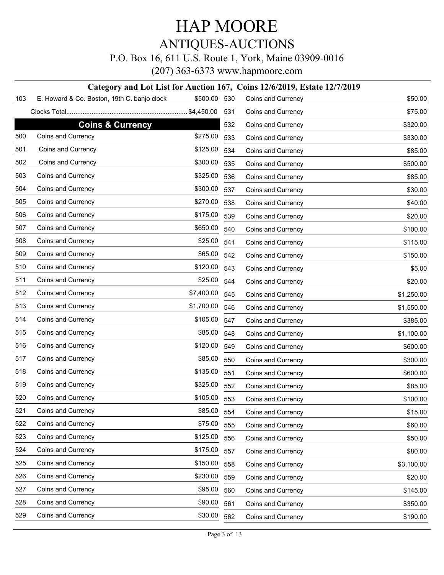P.O. Box 16, 611 U.S. Route 1, York, Maine 03909-0016

(207) 363-6373 www.hapmoore.com

#### **Category and Lot List for Auction 167, Coins 12/6/2019, Estate 12/7/2019**

| 103 | E. Howard & Co. Boston, 19th C. banjo clock | \$500.00   | 530 | Coins and Currency | \$50.00    |
|-----|---------------------------------------------|------------|-----|--------------------|------------|
|     |                                             |            | 531 | Coins and Currency | \$75.00    |
|     | <b>Coins &amp; Currency</b>                 |            | 532 | Coins and Currency | \$320.00   |
| 500 | Coins and Currency                          | \$275.00   | 533 | Coins and Currency | \$330.00   |
| 501 | Coins and Currency                          | \$125.00   | 534 | Coins and Currency | \$85.00    |
| 502 | Coins and Currency                          | \$300.00   | 535 | Coins and Currency | \$500.00   |
| 503 | Coins and Currency                          | \$325.00   | 536 | Coins and Currency | \$85.00    |
| 504 | Coins and Currency                          | \$300.00   | 537 | Coins and Currency | \$30.00    |
| 505 | Coins and Currency                          | \$270.00   | 538 | Coins and Currency | \$40.00    |
| 506 | Coins and Currency                          | \$175.00   | 539 | Coins and Currency | \$20.00    |
| 507 | Coins and Currency                          | \$650.00   | 540 | Coins and Currency | \$100.00   |
| 508 | Coins and Currency                          | \$25.00    | 541 | Coins and Currency | \$115.00   |
| 509 | Coins and Currency                          | \$65.00    | 542 | Coins and Currency | \$150.00   |
| 510 | Coins and Currency                          | \$120.00   | 543 | Coins and Currency | \$5.00     |
| 511 | Coins and Currency                          | \$25.00    | 544 | Coins and Currency | \$20.00    |
| 512 | Coins and Currency                          | \$7,400.00 | 545 | Coins and Currency | \$1,250.00 |
| 513 | Coins and Currency                          | \$1,700.00 | 546 | Coins and Currency | \$1,550.00 |
| 514 | Coins and Currency                          | \$105.00   | 547 | Coins and Currency | \$385.00   |
| 515 | Coins and Currency                          | \$85.00    | 548 | Coins and Currency | \$1,100.00 |
| 516 | Coins and Currency                          | \$120.00   | 549 | Coins and Currency | \$600.00   |
| 517 | Coins and Currency                          | \$85.00    | 550 | Coins and Currency | \$300.00   |
| 518 | Coins and Currency                          | \$135.00   | 551 | Coins and Currency | \$600.00   |
| 519 | Coins and Currency                          | \$325.00   | 552 | Coins and Currency | \$85.00    |
| 520 | Coins and Currency                          | \$105.00   | 553 | Coins and Currency | \$100.00   |
| 521 | Coins and Currency                          | \$85.00    | 554 | Coins and Currency | \$15.00    |
| 522 | Coins and Currency                          | \$75.00    | 555 | Coins and Currency | \$60.00    |
| 523 | Coins and Currency                          | \$125.00   | 556 | Coins and Currency | \$50.00    |
| 524 | Coins and Currency                          | \$175.00   | 557 | Coins and Currency | \$80.00    |
| 525 | Coins and Currency                          | \$150.00   | 558 | Coins and Currency | \$3,100.00 |
| 526 | Coins and Currency                          | \$230.00   | 559 | Coins and Currency | \$20.00    |
| 527 | Coins and Currency                          | \$95.00    | 560 | Coins and Currency | \$145.00   |
| 528 | Coins and Currency                          | \$90.00    | 561 | Coins and Currency | \$350.00   |
| 529 | Coins and Currency                          | \$30.00    | 562 | Coins and Currency | \$190.00   |
|     |                                             |            |     |                    |            |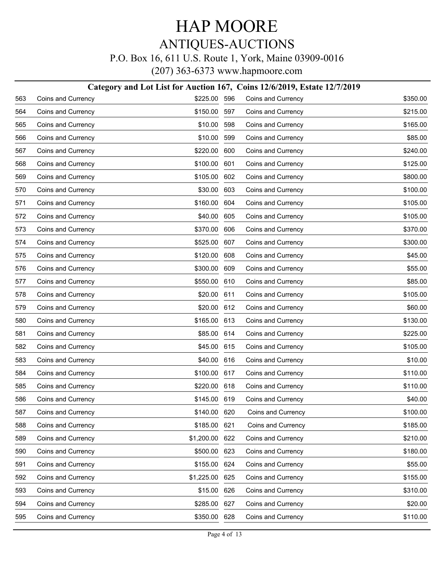#### P.O. Box 16, 611 U.S. Route 1, York, Maine 03909-0016

|     | Category and Lot List for Auction 167, Coins 12/6/2019, Estate 12/7/2019 |              |     |                    |          |  |  |  |
|-----|--------------------------------------------------------------------------|--------------|-----|--------------------|----------|--|--|--|
| 563 | Coins and Currency                                                       | \$225.00     | 596 | Coins and Currency | \$350.00 |  |  |  |
| 564 | Coins and Currency                                                       | \$150.00     | 597 | Coins and Currency | \$215.00 |  |  |  |
| 565 | Coins and Currency                                                       | \$10.00      | 598 | Coins and Currency | \$165.00 |  |  |  |
| 566 | Coins and Currency                                                       | \$10.00      | 599 | Coins and Currency | \$85.00  |  |  |  |
| 567 | Coins and Currency                                                       | \$220.00     | 600 | Coins and Currency | \$240.00 |  |  |  |
| 568 | Coins and Currency                                                       | \$100.00     | 601 | Coins and Currency | \$125.00 |  |  |  |
| 569 | Coins and Currency                                                       | \$105.00     | 602 | Coins and Currency | \$800.00 |  |  |  |
| 570 | Coins and Currency                                                       | \$30.00      | 603 | Coins and Currency | \$100.00 |  |  |  |
| 571 | Coins and Currency                                                       | \$160.00     | 604 | Coins and Currency | \$105.00 |  |  |  |
| 572 | Coins and Currency                                                       | \$40.00      | 605 | Coins and Currency | \$105.00 |  |  |  |
| 573 | Coins and Currency                                                       | \$370.00     | 606 | Coins and Currency | \$370.00 |  |  |  |
| 574 | Coins and Currency                                                       | \$525.00     | 607 | Coins and Currency | \$300.00 |  |  |  |
| 575 | Coins and Currency                                                       | \$120.00     | 608 | Coins and Currency | \$45.00  |  |  |  |
| 576 | Coins and Currency                                                       | \$300.00     | 609 | Coins and Currency | \$55.00  |  |  |  |
| 577 | Coins and Currency                                                       | \$550.00     | 610 | Coins and Currency | \$85.00  |  |  |  |
| 578 | Coins and Currency                                                       | \$20.00      | 611 | Coins and Currency | \$105.00 |  |  |  |
| 579 | Coins and Currency                                                       | \$20.00      | 612 | Coins and Currency | \$60.00  |  |  |  |
| 580 | Coins and Currency                                                       | \$165.00     | 613 | Coins and Currency | \$130.00 |  |  |  |
| 581 | Coins and Currency                                                       | \$85.00      | 614 | Coins and Currency | \$225.00 |  |  |  |
| 582 | Coins and Currency                                                       | \$45.00      | 615 | Coins and Currency | \$105.00 |  |  |  |
| 583 | Coins and Currency                                                       | \$40.00      | 616 | Coins and Currency | \$10.00  |  |  |  |
| 584 | Coins and Currency                                                       | \$100.00     | 617 | Coins and Currency | \$110.00 |  |  |  |
| 585 | Coins and Currency                                                       | \$220.00     | 618 | Coins and Currency | \$110.00 |  |  |  |
| 586 | Coins and Currency                                                       | \$145.00     | 619 | Coins and Currency | \$40.00  |  |  |  |
| 587 | Coins and Currency                                                       | \$140.00 620 |     | Coins and Currency | \$100.00 |  |  |  |
| 588 | Coins and Currency                                                       | \$185.00     | 621 | Coins and Currency | \$185.00 |  |  |  |
| 589 | Coins and Currency                                                       | \$1,200.00   | 622 | Coins and Currency | \$210.00 |  |  |  |
| 590 | Coins and Currency                                                       | \$500.00     | 623 | Coins and Currency | \$180.00 |  |  |  |
| 591 | Coins and Currency                                                       | \$155.00     | 624 | Coins and Currency | \$55.00  |  |  |  |
| 592 | Coins and Currency                                                       | \$1,225.00   | 625 | Coins and Currency | \$155.00 |  |  |  |
| 593 | Coins and Currency                                                       | \$15.00      | 626 | Coins and Currency | \$310.00 |  |  |  |
| 594 | Coins and Currency                                                       | \$285.00     | 627 | Coins and Currency | \$20.00  |  |  |  |
| 595 | Coins and Currency                                                       | \$350.00     | 628 | Coins and Currency | \$110.00 |  |  |  |
|     |                                                                          |              |     |                    |          |  |  |  |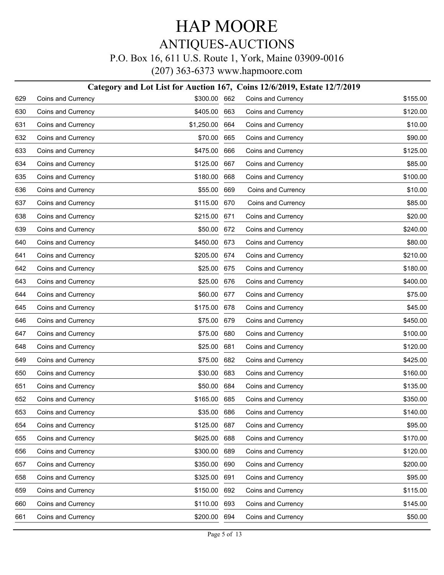#### P.O. Box 16, 611 U.S. Route 1, York, Maine 03909-0016

|     |                    | Category and Lot List for Auction 167, Coins 12/6/2019, Estate 12/7/2019 |     |                    |          |
|-----|--------------------|--------------------------------------------------------------------------|-----|--------------------|----------|
| 629 | Coins and Currency | \$300.00 662                                                             |     | Coins and Currency | \$155.00 |
| 630 | Coins and Currency | \$405.00 663                                                             |     | Coins and Currency | \$120.00 |
| 631 | Coins and Currency | \$1,250.00 664                                                           |     | Coins and Currency | \$10.00  |
| 632 | Coins and Currency | \$70.00                                                                  | 665 | Coins and Currency | \$90.00  |
| 633 | Coins and Currency | \$475.00 666                                                             |     | Coins and Currency | \$125.00 |
| 634 | Coins and Currency | \$125.00                                                                 | 667 | Coins and Currency | \$85.00  |
| 635 | Coins and Currency | \$180.00 668                                                             |     | Coins and Currency | \$100.00 |
| 636 | Coins and Currency | \$55.00                                                                  | 669 | Coins and Currency | \$10.00  |
| 637 | Coins and Currency | \$115.00 670                                                             |     | Coins and Currency | \$85.00  |
| 638 | Coins and Currency | \$215.00                                                                 | 671 | Coins and Currency | \$20.00  |
| 639 | Coins and Currency | \$50.00 672                                                              |     | Coins and Currency | \$240.00 |
| 640 | Coins and Currency | \$450.00 673                                                             |     | Coins and Currency | \$80.00  |
| 641 | Coins and Currency | \$205.00 674                                                             |     | Coins and Currency | \$210.00 |
| 642 | Coins and Currency | \$25.00 675                                                              |     | Coins and Currency | \$180.00 |
| 643 | Coins and Currency | \$25.00 676                                                              |     | Coins and Currency | \$400.00 |
| 644 | Coins and Currency | \$60.00 677                                                              |     | Coins and Currency | \$75.00  |
| 645 | Coins and Currency | \$175.00 678                                                             |     | Coins and Currency | \$45.00  |
| 646 | Coins and Currency | \$75.00 679                                                              |     | Coins and Currency | \$450.00 |
| 647 | Coins and Currency | \$75.00 680                                                              |     | Coins and Currency | \$100.00 |
| 648 | Coins and Currency | \$25.00                                                                  | 681 | Coins and Currency | \$120.00 |
| 649 | Coins and Currency | \$75.00 682                                                              |     | Coins and Currency | \$425.00 |
| 650 | Coins and Currency | \$30.00                                                                  | 683 | Coins and Currency | \$160.00 |
| 651 | Coins and Currency | \$50.00 684                                                              |     | Coins and Currency | \$135.00 |
| 652 | Coins and Currency | \$165.00 685                                                             |     | Coins and Currency | \$350.00 |
| 653 | Coins and Currency | \$35.00 686                                                              |     | Coins and Currency | \$140.00 |
| 654 | Coins and Currency | \$125.00 687                                                             |     | Coins and Currency | \$95.00  |
| 655 | Coins and Currency | \$625.00                                                                 | 688 | Coins and Currency | \$170.00 |
| 656 | Coins and Currency | \$300.00                                                                 | 689 | Coins and Currency | \$120.00 |
| 657 | Coins and Currency | \$350.00                                                                 | 690 | Coins and Currency | \$200.00 |
| 658 | Coins and Currency | \$325.00                                                                 | 691 | Coins and Currency | \$95.00  |
| 659 | Coins and Currency | \$150.00                                                                 | 692 | Coins and Currency | \$115.00 |
| 660 | Coins and Currency | \$110.00 693                                                             |     | Coins and Currency | \$145.00 |
| 661 | Coins and Currency | \$200.00 694                                                             |     | Coins and Currency | \$50.00  |
|     |                    |                                                                          |     |                    |          |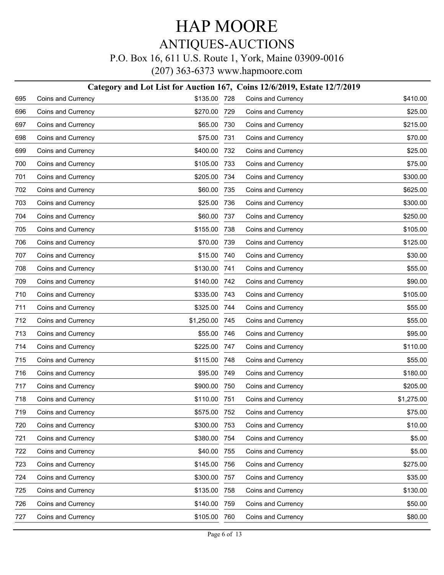#### P.O. Box 16, 611 U.S. Route 1, York, Maine 03909-0016

|     | Category and Lot List for Auction 167, Coins 12/6/2019, Estate 12/7/2019 |              |     |                    |            |  |  |  |
|-----|--------------------------------------------------------------------------|--------------|-----|--------------------|------------|--|--|--|
| 695 | Coins and Currency                                                       | \$135.00 728 |     | Coins and Currency | \$410.00   |  |  |  |
| 696 | Coins and Currency                                                       | \$270.00     | 729 | Coins and Currency | \$25.00    |  |  |  |
| 697 | Coins and Currency                                                       | \$65.00      | 730 | Coins and Currency | \$215.00   |  |  |  |
| 698 | Coins and Currency                                                       | \$75.00      | 731 | Coins and Currency | \$70.00    |  |  |  |
| 699 | Coins and Currency                                                       | \$400.00     | 732 | Coins and Currency | \$25.00    |  |  |  |
| 700 | Coins and Currency                                                       | \$105.00     | 733 | Coins and Currency | \$75.00    |  |  |  |
| 701 | Coins and Currency                                                       | \$205.00     | 734 | Coins and Currency | \$300.00   |  |  |  |
| 702 | Coins and Currency                                                       | \$60.00      | 735 | Coins and Currency | \$625.00   |  |  |  |
| 703 | Coins and Currency                                                       | \$25.00      | 736 | Coins and Currency | \$300.00   |  |  |  |
| 704 | Coins and Currency                                                       | \$60.00      | 737 | Coins and Currency | \$250.00   |  |  |  |
| 705 | Coins and Currency                                                       | \$155.00     | 738 | Coins and Currency | \$105.00   |  |  |  |
| 706 | Coins and Currency                                                       | \$70.00      | 739 | Coins and Currency | \$125.00   |  |  |  |
| 707 | Coins and Currency                                                       | \$15.00      | 740 | Coins and Currency | \$30.00    |  |  |  |
| 708 | Coins and Currency                                                       | \$130.00     | 741 | Coins and Currency | \$55.00    |  |  |  |
| 709 | Coins and Currency                                                       | \$140.00     | 742 | Coins and Currency | \$90.00    |  |  |  |
| 710 | Coins and Currency                                                       | \$335.00     | 743 | Coins and Currency | \$105.00   |  |  |  |
| 711 | Coins and Currency                                                       | \$325.00     | 744 | Coins and Currency | \$55.00    |  |  |  |
| 712 | Coins and Currency                                                       | \$1,250.00   | 745 | Coins and Currency | \$55.00    |  |  |  |
| 713 | Coins and Currency                                                       | \$55.00      | 746 | Coins and Currency | \$95.00    |  |  |  |
| 714 | Coins and Currency                                                       | \$225.00     | 747 | Coins and Currency | \$110.00   |  |  |  |
| 715 | Coins and Currency                                                       | \$115.00     | 748 | Coins and Currency | \$55.00    |  |  |  |
| 716 | Coins and Currency                                                       | \$95.00      | 749 | Coins and Currency | \$180.00   |  |  |  |
| 717 | Coins and Currency                                                       | \$900.00     | 750 | Coins and Currency | \$205.00   |  |  |  |
| 718 | Coins and Currency                                                       | \$110.00     | 751 | Coins and Currency | \$1,275.00 |  |  |  |
| 719 | Coins and Currency                                                       | \$575.00 752 |     | Coins and Currency | \$75.00    |  |  |  |
| 720 | Coins and Currency                                                       | \$300.00     | 753 | Coins and Currency | \$10.00    |  |  |  |
| 721 | Coins and Currency                                                       | \$380.00     | 754 | Coins and Currency | \$5.00     |  |  |  |
| 722 | Coins and Currency                                                       | \$40.00      | 755 | Coins and Currency | \$5.00     |  |  |  |
| 723 | Coins and Currency                                                       | \$145.00     | 756 | Coins and Currency | \$275.00   |  |  |  |
| 724 | Coins and Currency                                                       | \$300.00     | 757 | Coins and Currency | \$35.00    |  |  |  |
| 725 | Coins and Currency                                                       | \$135.00     | 758 | Coins and Currency | \$130.00   |  |  |  |
| 726 | Coins and Currency                                                       | \$140.00     | 759 | Coins and Currency | \$50.00    |  |  |  |
| 727 | Coins and Currency                                                       | \$105.00     | 760 | Coins and Currency | \$80.00    |  |  |  |
|     |                                                                          |              |     |                    |            |  |  |  |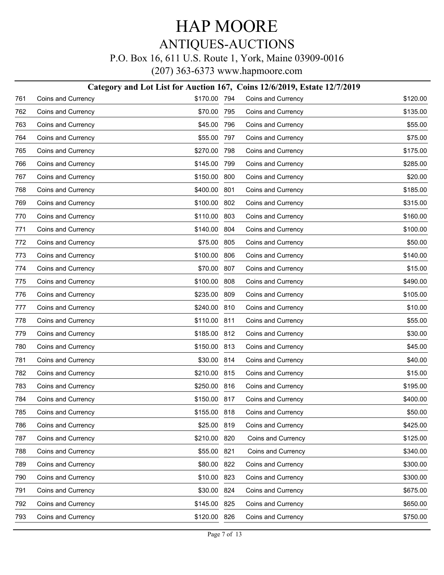#### P.O. Box 16, 611 U.S. Route 1, York, Maine 03909-0016

|     | Category and Lot List for Auction 167, Coins 12/6/2019, Estate 12/7/2019 |              |     |                    |          |  |  |  |
|-----|--------------------------------------------------------------------------|--------------|-----|--------------------|----------|--|--|--|
| 761 | Coins and Currency                                                       | \$170.00 794 |     | Coins and Currency | \$120.00 |  |  |  |
| 762 | Coins and Currency                                                       | \$70.00      | 795 | Coins and Currency | \$135.00 |  |  |  |
| 763 | Coins and Currency                                                       | \$45.00      | 796 | Coins and Currency | \$55.00  |  |  |  |
| 764 | Coins and Currency                                                       | \$55.00      | 797 | Coins and Currency | \$75.00  |  |  |  |
| 765 | Coins and Currency                                                       | \$270.00     | 798 | Coins and Currency | \$175.00 |  |  |  |
| 766 | Coins and Currency                                                       | \$145.00     | 799 | Coins and Currency | \$285.00 |  |  |  |
| 767 | Coins and Currency                                                       | \$150.00     | 800 | Coins and Currency | \$20.00  |  |  |  |
| 768 | Coins and Currency                                                       | \$400.00     | 801 | Coins and Currency | \$185.00 |  |  |  |
| 769 | Coins and Currency                                                       | \$100.00     | 802 | Coins and Currency | \$315.00 |  |  |  |
| 770 | Coins and Currency                                                       | \$110.00     | 803 | Coins and Currency | \$160.00 |  |  |  |
| 771 | Coins and Currency                                                       | \$140.00     | 804 | Coins and Currency | \$100.00 |  |  |  |
| 772 | Coins and Currency                                                       | \$75.00      | 805 | Coins and Currency | \$50.00  |  |  |  |
| 773 | Coins and Currency                                                       | \$100.00     | 806 | Coins and Currency | \$140.00 |  |  |  |
| 774 | Coins and Currency                                                       | \$70.00      | 807 | Coins and Currency | \$15.00  |  |  |  |
| 775 | Coins and Currency                                                       | \$100.00     | 808 | Coins and Currency | \$490.00 |  |  |  |
| 776 | Coins and Currency                                                       | \$235.00     | 809 | Coins and Currency | \$105.00 |  |  |  |
| 777 | Coins and Currency                                                       | \$240.00     | 810 | Coins and Currency | \$10.00  |  |  |  |
| 778 | Coins and Currency                                                       | \$110.00     | 811 | Coins and Currency | \$55.00  |  |  |  |
| 779 | Coins and Currency                                                       | \$185.00     | 812 | Coins and Currency | \$30.00  |  |  |  |
| 780 | Coins and Currency                                                       | \$150.00     | 813 | Coins and Currency | \$45.00  |  |  |  |
| 781 | Coins and Currency                                                       | \$30.00      | 814 | Coins and Currency | \$40.00  |  |  |  |
| 782 | Coins and Currency                                                       | \$210.00     | 815 | Coins and Currency | \$15.00  |  |  |  |
| 783 | Coins and Currency                                                       | \$250.00     | 816 | Coins and Currency | \$195.00 |  |  |  |
| 784 | Coins and Currency                                                       | \$150.00 817 |     | Coins and Currency | \$400.00 |  |  |  |
| 785 | Coins and Currency                                                       | \$155.00 818 |     | Coins and Currency | \$50.00  |  |  |  |
| 786 | Coins and Currency                                                       | \$25.00      | 819 | Coins and Currency | \$425.00 |  |  |  |
| 787 | Coins and Currency                                                       | \$210.00     | 820 | Coins and Currency | \$125.00 |  |  |  |
| 788 | Coins and Currency                                                       | \$55.00      | 821 | Coins and Currency | \$340.00 |  |  |  |
| 789 | Coins and Currency                                                       | \$80.00      | 822 | Coins and Currency | \$300.00 |  |  |  |
| 790 | Coins and Currency                                                       | \$10.00      | 823 | Coins and Currency | \$300.00 |  |  |  |
| 791 | Coins and Currency                                                       | \$30.00      | 824 | Coins and Currency | \$675.00 |  |  |  |
| 792 | Coins and Currency                                                       | \$145.00 825 |     | Coins and Currency | \$650.00 |  |  |  |
| 793 | Coins and Currency                                                       | \$120.00 826 |     | Coins and Currency | \$750.00 |  |  |  |
|     |                                                                          |              |     |                    |          |  |  |  |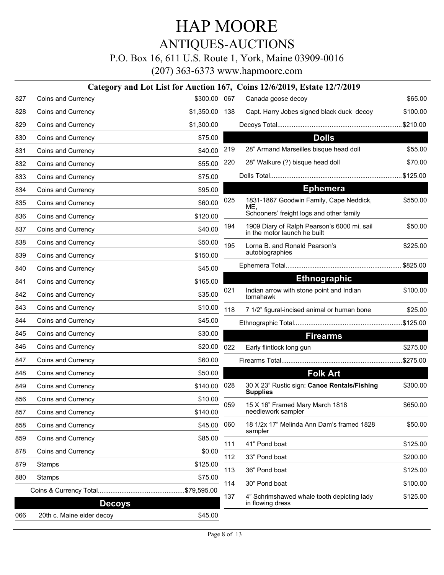ANTIQUES-AUCTIONS

P.O. Box 16, 611 U.S. Route 1, York, Maine 03909-0016

|     |                           |                |     | Category and Lot List for Auction 167, Coins 12/6/2019, Estate 12/7/2019    |          |
|-----|---------------------------|----------------|-----|-----------------------------------------------------------------------------|----------|
| 827 | Coins and Currency        | \$300.00 067   |     | Canada goose decoy                                                          | \$65.00  |
| 828 | Coins and Currency        | \$1,350.00 138 |     | Capt. Harry Jobes signed black duck decoy                                   | \$100.00 |
| 829 | Coins and Currency        | \$1,300.00     |     |                                                                             |          |
| 830 | Coins and Currency        | \$75.00        |     | <b>Dolls</b>                                                                |          |
| 831 | Coins and Currency        | \$40.00        | 219 | 28" Armand Marseilles bisque head doll                                      | \$55.00  |
| 832 | Coins and Currency        | \$55.00        | 220 | 28" Walkure (?) bisque head doll                                            | \$70.00  |
| 833 | Coins and Currency        | \$75.00        |     |                                                                             |          |
| 834 | Coins and Currency        | \$95.00        |     | <b>Ephemera</b>                                                             |          |
| 835 | Coins and Currency        | \$60.00        | 025 | 1831-1867 Goodwin Family, Cape Neddick,<br>ME.                              | \$550.00 |
| 836 | Coins and Currency        | \$120.00       |     | Schooners' freight logs and other family                                    |          |
| 837 | Coins and Currency        | \$40.00        | 194 | 1909 Diary of Ralph Pearson's 6000 mi. sail<br>in the motor launch he built | \$50.00  |
| 838 | Coins and Currency        | \$50.00        | 195 | Lorna B. and Ronald Pearson's                                               | \$225.00 |
| 839 | Coins and Currency        | \$150.00       |     | autobiographies                                                             |          |
| 840 | Coins and Currency        | \$45.00        |     |                                                                             |          |
| 841 | Coins and Currency        | \$165.00       |     | <b>Ethnographic</b>                                                         |          |
| 842 | Coins and Currency        | \$35.00        | 021 | Indian arrow with stone point and Indian<br>tomahawk                        | \$100.00 |
| 843 | Coins and Currency        | \$10.00        | 118 | 7 1/2" figural-incised animal or human bone                                 | \$25.00  |
| 844 | Coins and Currency        | \$45.00        |     |                                                                             |          |
| 845 | Coins and Currency        | \$30.00        |     | <b>Firearms</b>                                                             |          |
| 846 | Coins and Currency        | \$20.00        | 022 | Early flintlock long gun                                                    | \$275.00 |
| 847 | Coins and Currency        | \$60.00        |     |                                                                             |          |
| 848 | Coins and Currency        | \$50.00        |     | <b>Folk Art</b>                                                             |          |
| 849 | Coins and Currency        | \$140.00       | 028 | 30 X 23" Rustic sign: Canoe Rentals/Fishing<br><b>Supplies</b>              | \$300.00 |
| 856 | Coins and Currency        | \$10.00        | 059 | 15 X 16" Framed Mary March 1818                                             | \$650.00 |
| 857 | Coins and Currency        | \$140.00       |     | needlework sampler                                                          |          |
| 858 | Coins and Currency        | \$45.00        | 060 | 18 1/2x 17" Melinda Ann Dam's framed 1828<br>sampler                        | \$50.00  |
| 859 | Coins and Currency        | \$85.00        | 111 | 41" Pond boat                                                               | \$125.00 |
| 878 | Coins and Currency        | \$0.00         | 112 | 33" Pond boat                                                               | \$200.00 |
| 879 | Stamps                    | \$125.00       | 113 | 36" Pond boat                                                               | \$125.00 |
| 880 | Stamps                    | \$75.00        | 114 | 30" Pond boat                                                               | \$100.00 |
|     |                           | <b>Decoys</b>  | 137 | 4" Schrimshawed whale tooth depicting lady<br>in flowing dress              | \$125.00 |
| 066 | 20th c. Maine eider decoy | \$45.00        |     |                                                                             |          |
|     |                           |                |     |                                                                             |          |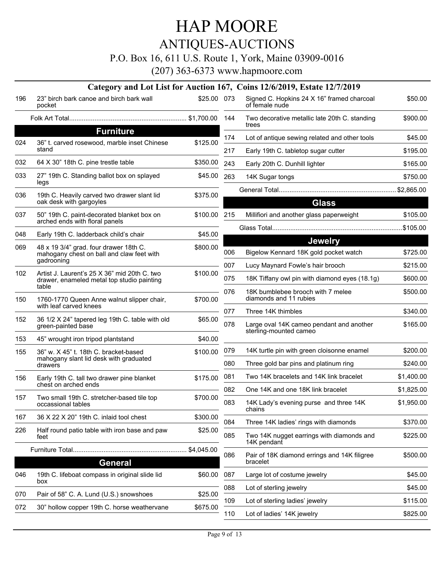### ANTIQUES-AUCTIONS

P.O. Box 16, 611 U.S. Route 1, York, Maine 03909-0016

|     |                                                                                                     |              |     | Category and Lot List for Auction 167, Coins 12/6/2019, Estate 12/7/2019             |                     |
|-----|-----------------------------------------------------------------------------------------------------|--------------|-----|--------------------------------------------------------------------------------------|---------------------|
| 196 | 23" birch bark canoe and birch bark wall<br>pocket                                                  | \$25.00 073  |     | Signed C. Hopkins 24 X 16" framed charcoal<br>of female nude                         | \$50.00             |
|     |                                                                                                     |              | 144 | Two decorative metallic late 20th C. standing<br>trees                               | \$900.00            |
|     | <b>Furniture</b>                                                                                    |              | 174 |                                                                                      |                     |
| 024 | 36" t. carved rosewood, marble inset Chinese<br>stand                                               | \$125.00     | 217 | Lot of antique sewing related and other tools<br>Early 19th C. tabletop sugar cutter | \$45.00<br>\$195.00 |
| 032 | 64 X 30" 18th C. pine trestle table                                                                 | \$350.00     | 243 | Early 20th C. Dunhill lighter                                                        | \$165.00            |
| 033 | 27" 19th C. Standing ballot box on splayed<br>legs                                                  | \$45.00      | 263 | 14K Sugar tongs                                                                      | \$750.00            |
| 036 |                                                                                                     | \$375.00     |     |                                                                                      |                     |
|     | 19th C. Heavily carved two drawer slant lid<br>oak desk with gargoyles                              |              |     | <b>Glass</b>                                                                         |                     |
| 037 | 50" 19th C. paint-decorated blanket box on<br>arched ends with floral panels                        | \$100.00 215 |     | Millifiori and another glass paperweight                                             | \$105.00            |
|     |                                                                                                     |              |     |                                                                                      |                     |
| 048 | Early 19th C. ladderback child's chair                                                              | \$45.00      |     | <b>Jewelry</b>                                                                       |                     |
| 069 | 48 x 19 3/4" grad. four drawer 18th C.<br>mahogany chest on ball and claw feet with                 | \$800.00     | 006 | Bigelow Kennard 18K gold pocket watch                                                | \$725.00            |
|     | gadrooning                                                                                          |              | 007 | Lucy Maynard Fowle's hair brooch                                                     | \$215.00            |
| 102 | Artist J. Laurent's 25 X 36" mid 20th C. two<br>drawer, enameled metal top studio painting<br>table | \$100.00     | 075 | 18K Tiffany owl pin with diamond eyes (18.1g)                                        | \$600.00            |
| 150 | 1760-1770 Queen Anne walnut slipper chair,                                                          | \$700.00     | 076 | 18K bumblebee brooch with 7 melee<br>diamonds and 11 rubies                          | \$500.00            |
|     | with leaf carved knees                                                                              |              | 077 | Three 14K thimbles                                                                   | \$340.00            |
| 152 | 36 1/2 X 24" tapered leg 19th C. table with old<br>green-painted base                               | \$65.00      | 078 | Large oval 14K cameo pendant and another<br>sterling-mounted cameo                   | \$165.00            |
| 153 | 45" wrought iron tripod plantstand                                                                  | \$40.00      |     |                                                                                      |                     |
| 155 | 36" w. X 45" t. 18th C. bracket-based                                                               | \$100.00     | 079 | 14K turtle pin with green cloisonne enamel                                           | \$200.00            |
|     | mahogany slant lid desk with graduated<br>drawers                                                   |              | 080 | Three gold bar pins and platinum ring                                                | \$240.00            |
| 156 | Early 19th C. tall two drawer pine blanket<br>chest on arched ends                                  | \$175.00     | 081 | Two 14K bracelets and 14K link bracelet                                              | \$1,400.00          |
|     |                                                                                                     |              | 082 | One 14K and one 18K link bracelet                                                    | \$1,825.00          |
| 157 | Two small 19th C. stretcher-based tile top<br>occassional tables                                    | \$700.00     | 083 | 14K Lady's evening purse and three 14K<br>chains                                     | \$1,950.00          |
| 167 | 36 X 22 X 20" 19th C. inlaid tool chest                                                             | \$300.00     | 084 | Three 14K ladies' rings with diamonds                                                | \$370.00            |
| 226 | Half round patio table with iron base and paw<br>feet                                               | \$25.00      | 085 | Two 14K nugget earrings with diamonds and<br>14K pendant                             | \$225.00            |
|     |                                                                                                     | \$4,045.00   | 086 | Pair of 18K diamond errings and 14K filigree                                         | \$500.00            |
|     | <b>General</b>                                                                                      |              |     | bracelet                                                                             |                     |
| 046 | 19th C. lifeboat compass in original slide lid<br>box                                               | \$60.00      | 087 | Large lot of costume jewelry                                                         | \$45.00             |
|     |                                                                                                     |              | 088 | Lot of sterling jewelry                                                              | \$45.00             |
| 070 | Pair of 58" C. A. Lund (U.S.) snowshoes                                                             | \$25.00      | 109 | Lot of sterling ladies' jewelry                                                      | \$115.00            |
| 072 | 30" hollow copper 19th C. horse weathervane                                                         | \$675.00     | 110 | Lot of ladies' 14K jewelry                                                           | \$825.00            |
|     |                                                                                                     |              |     |                                                                                      |                     |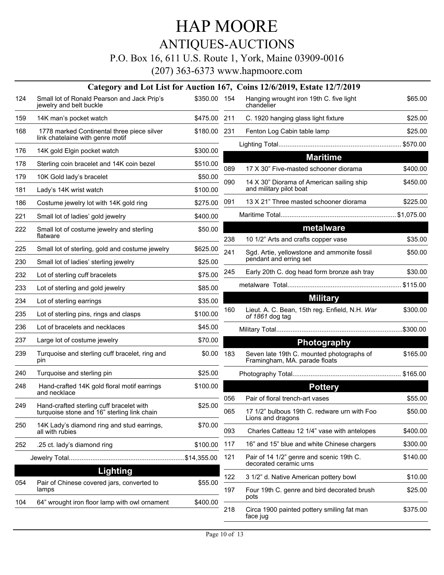ANTIQUES-AUCTIONS

P.O. Box 16, 611 U.S. Route 1, York, Maine 03909-0016

|     |                                                                                         |              |     | Category and Lot List for Auction 167, Coins 12/6/2019, Estate 12/7/2019 |  |
|-----|-----------------------------------------------------------------------------------------|--------------|-----|--------------------------------------------------------------------------|--|
| 124 | Small lot of Ronald Pearson and Jack Prip's<br>jewelry and belt buckle                  | \$350.00 154 |     | Hanging wrought iron 19th C. five light<br>chandelier                    |  |
| 159 | 14K man's pocket watch                                                                  | \$475.00 211 |     | C. 1920 hanging glass light fixture                                      |  |
| 168 | 1778 marked Continental three piece silver                                              | \$180.00 231 |     | Fenton Log Cabin table lamp                                              |  |
|     | link chatelaine with genre motif                                                        |              |     |                                                                          |  |
| 176 | 14K gold Elgin pocket watch                                                             | \$300.00     |     | <b>Maritime</b>                                                          |  |
| 178 | Sterling coin bracelet and 14K coin bezel                                               | \$510.00     | 089 | 17 X 30" Five-masted schooner diorama                                    |  |
| 179 | 10K Gold lady's bracelet                                                                | \$50.00      | 090 | 14 X 30" Diorama of American sailing sh                                  |  |
| 181 | Lady's 14K wrist watch                                                                  | \$100.00     |     | and military pilot boat                                                  |  |
| 186 | Costume jewelry lot with 14K gold ring                                                  | \$275.00     | 091 | 13 X 21" Three masted schooner dioram                                    |  |
| 221 | Small lot of ladies' gold jewelry                                                       | \$400.00     |     |                                                                          |  |
| 222 | Small lot of costume jewelry and sterling<br>flatware                                   | \$50.00      |     | metalware                                                                |  |
|     |                                                                                         |              | 238 | 10 1/2" Arts and crafts copper vase                                      |  |
| 225 | Small lot of sterling, gold and costume jewelry                                         | \$625.00     | 241 | Sgd. Artie, yellowstone and ammonite fo<br>pendant and erring set        |  |
| 230 | Small lot of ladies' sterling jewelry                                                   | \$25.00      | 245 | Early 20th C. dog head form bronze ash                                   |  |
| 232 | Lot of sterling cuff bracelets                                                          | \$75.00      |     |                                                                          |  |
| 233 | Lot of sterling and gold jewelry                                                        | \$85.00      |     | <b>Military</b>                                                          |  |
| 234 | Lot of sterling earrings                                                                | \$35.00      | 160 | Lieut. A. C. Bean, 15th reg. Enfield, N.H                                |  |
| 235 | Lot of sterling pins, rings and clasps                                                  | \$100.00     |     | of 1861 dog tag                                                          |  |
| 236 | Lot of bracelets and necklaces                                                          | \$45.00      |     |                                                                          |  |
| 237 | Large lot of costume jewelry                                                            | \$70.00      |     | Photography                                                              |  |
| 239 | Turquoise and sterling cuff bracelet, ring and<br>pin                                   | \$0.00       | 183 | Seven late 19th C. mounted photograph<br>Framingham, MA. parade floats   |  |
| 240 | Turquoise and sterling pin                                                              | \$25.00      |     |                                                                          |  |
| 248 | Hand-crafted 14K gold floral motif earrings                                             | \$100.00     |     | <b>Pottery</b>                                                           |  |
|     | and necklace                                                                            |              | 056 | Pair of floral trench-art vases                                          |  |
| 249 | Hand-crafted sterling cuff bracelet with<br>turquoise stone and 16" sterling link chain | \$25.00      | 065 | 17 1/2" bulbous 19th C. redware urn with<br>Lions and dragons            |  |
| 250 | 14K Lady's diamond ring and stud earrings,<br>all with rubies                           | \$70.00      | 093 | Charles Catteau 12 1/4" vase with antel                                  |  |
| 252 | .25 ct. lady's diamond ring                                                             | \$100.00     | 117 | 16" and 15" blue and white Chinese cha                                   |  |
|     |                                                                                         |              | 121 | Pair of 14 1/2" genre and scenic 19th C.                                 |  |
|     | Lighting                                                                                |              |     | decorated ceramic urns                                                   |  |
| 054 | Pair of Chinese covered jars, converted to                                              | \$55.00      | 122 | 3 1/2" d. Native American pottery bowl                                   |  |
|     | lamps                                                                                   |              | 197 | Four 19th C. genre and bird decorated b<br>pots                          |  |
| 104 | 64" wrought iron floor lamp with owl ornament                                           | \$400.00     | 218 | Circa 1900 painted pottery smiling fat m<br>face jug                     |  |
|     |                                                                                         |              |     |                                                                          |  |

| 154 | Hanging wrought iron 19th C. five light<br>chandelier                      | \$65.00  |
|-----|----------------------------------------------------------------------------|----------|
| 211 | C. 1920 hanging glass light fixture                                        | \$25.00  |
| 231 | Fenton Log Cabin table lamp                                                | \$25.00  |
|     |                                                                            |          |
|     | <b>Maritime</b>                                                            |          |
| 089 | 17 X 30" Five-masted schooner diorama                                      | \$400.00 |
| 090 | 14 X 30" Diorama of American sailing ship<br>and military pilot boat       | \$450.00 |
| 091 | 13 X 21" Three masted schooner diorama                                     | \$225.00 |
|     |                                                                            |          |
|     | metalware                                                                  |          |
| 238 | 10 1/2" Arts and crafts copper vase                                        | \$35.00  |
| 241 | Sgd. Artie, yellowstone and ammonite fossil<br>pendant and erring set      | \$50.00  |
| 245 | Early 20th C. dog head form bronze ash tray                                | \$30.00  |
|     |                                                                            |          |
|     | <b>Military</b>                                                            |          |
| 160 | Lieut. A. C. Bean, 15th reg. Enfield, N.H. War<br>of 1861 dog tag          | \$300.00 |
|     |                                                                            |          |
|     | <b>Photography</b>                                                         |          |
| 183 | Seven late 19th C. mounted photographs of<br>Framingham, MA. parade floats | \$165.00 |
|     |                                                                            |          |
|     | <b>Pottery</b>                                                             |          |
| 056 | Pair of floral trench-art vases                                            | \$55.00  |
| 065 | 17 1/2" bulbous 19th C. redware urn with Foo<br>Lions and dragons          | \$50.00  |
| 093 | Charles Catteau 12 1/4" vase with antelopes                                | \$400.00 |
| 117 | 16" and 15" blue and white Chinese chargers                                | \$300.00 |
| 121 | Pair of 14 1/2" genre and scenic 19th C.<br>decorated ceramic urns         | \$140.00 |
| 122 | 3 1/2" d. Native American pottery bowl                                     | \$10.00  |
| 197 | Four 19th C. genre and bird decorated brush<br>pots                        | \$25.00  |
| 218 | Circa 1900 painted pottery smiling fat man<br>face jug                     | \$375.00 |
|     |                                                                            |          |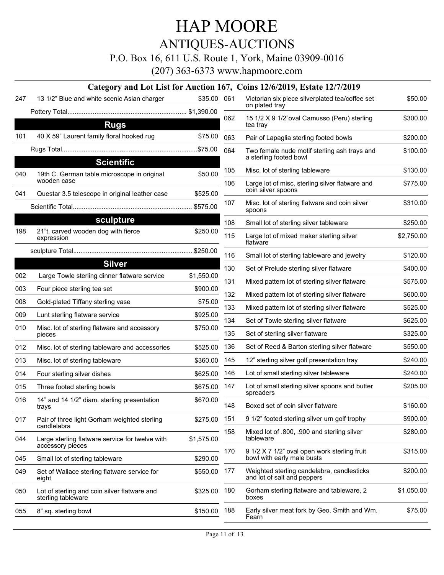ANTIQUES-AUCTIONS

P.O. Box 16, 611 U.S. Route 1, York, Maine 03909-0016

|     |                                                                    |              |     | Category and Lot List for Auction 167, Coins 12/6/2019, Estate 12/7/2019   |            |
|-----|--------------------------------------------------------------------|--------------|-----|----------------------------------------------------------------------------|------------|
| 247 | 13 1/2" Blue and white scenic Asian charger                        | \$35.00      | 061 | Victorian six piece silverplated tea/coffee set<br>on plated tray          | \$50.00    |
|     |                                                                    |              | 062 | 15 1/2 X 9 1/2" oval Camusso (Peru) sterling                               | \$300.00   |
|     | <b>Rugs</b>                                                        |              |     | tea tray                                                                   |            |
| 101 | 40 X 59" Laurent family floral hooked rug                          | \$75.00      | 063 | Pair of Lapaglia sterling footed bowls                                     | \$200.00   |
|     |                                                                    |              | 064 | Two female nude motif sterling ash trays and                               | \$100.00   |
|     | <b>Scientific</b>                                                  |              |     | a sterling footed bowl                                                     |            |
| 040 | 19th C. German table microscope in original<br>wooden case         | \$50.00      | 105 | Misc. lot of sterling tableware                                            | \$130.00   |
| 041 | Questar 3.5 telescope in original leather case                     | \$525.00     | 106 | Large lot of misc. sterling silver flatware and<br>coin silver spoons      | \$775.00   |
|     |                                                                    | \$575.00     | 107 | Misc. lot of sterling flatware and coin silver<br>spoons                   | \$310.00   |
|     | sculpture                                                          |              | 108 | Small lot of sterling silver tableware                                     | \$250.00   |
| 198 | 21"t. carved wooden dog with fierce<br>expression                  | \$250.00     | 115 | Large lot of mixed maker sterling silver<br>flatware                       | \$2,750.00 |
|     |                                                                    |              | 116 | Small lot of sterling tableware and jewelry                                | \$120.00   |
|     | <b>Silver</b>                                                      |              | 130 | Set of Prelude sterling silver flatware                                    | \$400.00   |
| 002 | Large Towle sterling dinner flatware service                       | \$1,550.00   | 131 | Mixed pattern lot of sterling silver flatware                              | \$575.00   |
| 003 | Four piece sterling tea set                                        | \$900.00     | 132 | Mixed pattern lot of sterling silver flatware                              | \$600.00   |
| 008 | Gold-plated Tiffany sterling vase                                  | \$75.00      | 133 | Mixed pattern lot of sterling silver flatware                              | \$525.00   |
| 009 | Lunt sterling flatware service                                     | \$925.00     | 134 | Set of Towle sterling silver flatware                                      | \$625.00   |
| 010 | Misc. lot of sterling flatware and accessory<br>pieces             | \$750.00     | 135 | Set of sterling silver flatware                                            | \$325.00   |
| 012 | Misc. lot of sterling tableware and accessories                    | \$525.00     | 136 | Set of Reed & Barton sterling silver flatware                              | \$550.00   |
| 013 | Misc. lot of sterling tableware                                    | \$360.00     | 145 | 12" sterling silver golf presentation tray                                 | \$240.00   |
| 014 | Four sterling silver dishes                                        | \$625.00     | 146 | Lot of small sterling silver tableware                                     | \$240.00   |
| 015 | Three footed sterling bowls                                        | \$675.00     | 147 | Lot of small sterling silver spoons and butter<br>spreaders                | \$205.00   |
| 016 | 14" and 14 1/2" diam. sterling presentation<br>trays               | \$670.00     | 148 | Boxed set of coin silver flatware                                          | \$160.00   |
| 017 | Pair of three light Gorham weighted sterling<br>candlelabra        | \$275.00 151 |     | 9 1/2" footed sterling silver urn golf trophy                              | \$900.00   |
| 044 | Large sterling flatware service for twelve with                    | \$1,575.00   | 158 | Mixed lot of .800, .900 and sterling silver<br>tableware                   | \$280.00   |
| 045 | accessory pieces<br>Small lot of sterling tableware                | \$290.00     | 170 | 9 1/2 X 7 1/2" oval open work sterling fruit<br>bowl with early male busts | \$315.00   |
| 049 | Set of Wallace sterling flatware service for<br>eight              | \$550.00 177 |     | Weighted sterling candelabra, candlesticks<br>and lot of salt and peppers  | \$200.00   |
| 050 | Lot of sterling and coin silver flatware and<br>sterling tableware | \$325.00 180 |     | Gorham sterling flatware and tableware, 2<br>boxes                         | \$1,050.00 |
| 055 | 8" sq. sterling bowl                                               | \$150.00 188 |     | Early silver meat fork by Geo. Smith and Wm.<br>Fearn                      | \$75.00    |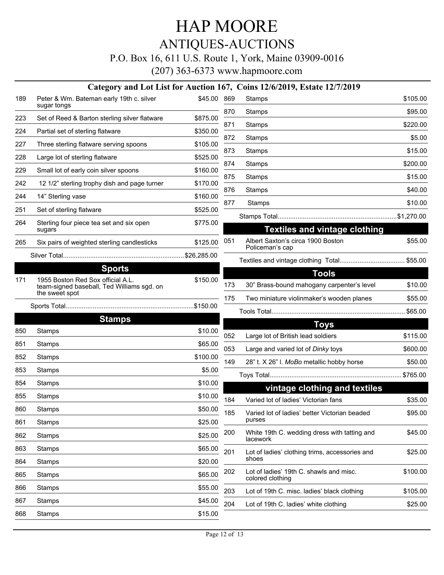### ANTIQUES-AUCTIONS

#### P.O. Box 16, 611 U.S. Route 1, York, Maine 03909-0016

|     |                                                                                                   |             |     | Category and Lot List for Auction 167, Coins 12/6/2019, Estate 12/7/2019  |          |
|-----|---------------------------------------------------------------------------------------------------|-------------|-----|---------------------------------------------------------------------------|----------|
| 189 | Peter & Wm. Bateman early 19th c. silver<br>sugar tongs                                           | \$45.00 869 |     | Stamps                                                                    | \$105.00 |
| 223 | Set of Reed & Barton sterling silver flatware                                                     | \$875.00    | 870 | Stamps                                                                    | \$95.00  |
| 224 | Partial set of sterling flatware                                                                  | \$350.00    | 871 | Stamps                                                                    | \$220.00 |
| 227 | Three sterling flatware serving spoons                                                            | \$105.00    | 872 | Stamps                                                                    | \$5.00   |
| 228 | Large lot of sterling flatware                                                                    | \$525.00    | 873 | Stamps                                                                    | \$15.00  |
| 229 | Small lot of early coin silver spoons                                                             | \$160.00    | 874 | Stamps                                                                    | \$200.00 |
| 242 | 12 1/2" sterling trophy dish and page turner                                                      | \$170.00    | 875 | <b>Stamps</b>                                                             | \$15.00  |
| 244 | 14" Sterling vase                                                                                 | \$160.00    | 876 | Stamps                                                                    | \$40.00  |
| 251 | Set of sterling flatware                                                                          | \$525.00    | 877 | Stamps                                                                    | \$10.00  |
| 264 | Sterling four piece tea set and six open                                                          | \$775.00    |     |                                                                           |          |
|     | sugars                                                                                            |             | 051 | <b>Textiles and vintage clothing</b><br>Albert Saxton's circa 1900 Boston | \$55.00  |
| 265 | Six pairs of weighted sterling candlesticks                                                       | \$125.00    |     | Policeman's cap                                                           |          |
|     |                                                                                                   |             |     |                                                                           |          |
|     | <b>Sports</b>                                                                                     |             |     | <b>Tools</b>                                                              |          |
| 171 | 1955 Boston Red Sox official A.L.<br>team-signed baseball, Ted Williams sgd. on<br>the sweet spot | \$150.00    | 173 | 30" Brass-bound mahogany carpenter's level                                | \$10.00  |
|     |                                                                                                   |             | 175 | Two miniature violinmaker's wooden planes                                 | \$55.00  |
|     | <b>Stamps</b>                                                                                     |             |     |                                                                           |          |
| 850 | Stamps                                                                                            | \$10.00     |     | <b>Toys</b>                                                               |          |
| 851 | Stamps                                                                                            | \$65.00     | 052 | Large lot of British lead soldiers                                        | \$115.00 |
| 852 | Stamps                                                                                            | \$100.00    | 053 | Large and varied lot of Dinky toys                                        | \$600.00 |
| 853 | Stamps                                                                                            | \$5.00      | 149 | 28" t. X 26" I. MoBo metallic hobby horse                                 | \$50.00  |
| 854 | Stamps                                                                                            | \$10.00     |     |                                                                           |          |
| 855 |                                                                                                   | \$10.00     |     | vintage clothing and textiles                                             |          |
|     | Stamps                                                                                            |             | 184 | Varied lot of ladies' Victorian fans                                      | \$35.00  |
| 860 | Stamps                                                                                            | \$50.00     | 185 | Varied lot of ladies' better Victorian beaded<br>purses                   | \$95.00  |
| 861 | Stamps                                                                                            | \$25.00     | 200 | White 19th C. wedding dress with tatting and                              | \$45.00  |
| 862 | Stamps                                                                                            | \$25.00     |     | lacework                                                                  |          |
| 863 | Stamps                                                                                            | \$65.00     | 201 | Lot of ladies' clothing trims, accessories and<br>shoes                   | \$25.00  |
| 864 | Stamps                                                                                            | \$20.00     | 202 | Lot of ladies' 19th C. shawls and misc.                                   | \$100.00 |
| 865 | Stamps                                                                                            | \$65.00     |     | colored clothing                                                          |          |
| 866 | Stamps                                                                                            | \$55.00     | 203 | Lot of 19th C. misc. ladies' black clothing                               | \$105.00 |
| 867 | Stamps                                                                                            | \$45.00     | 204 | Lot of 19th C. ladies' white clothing                                     | \$25.00  |
| 868 | Stamps                                                                                            | \$15.00     |     |                                                                           |          |